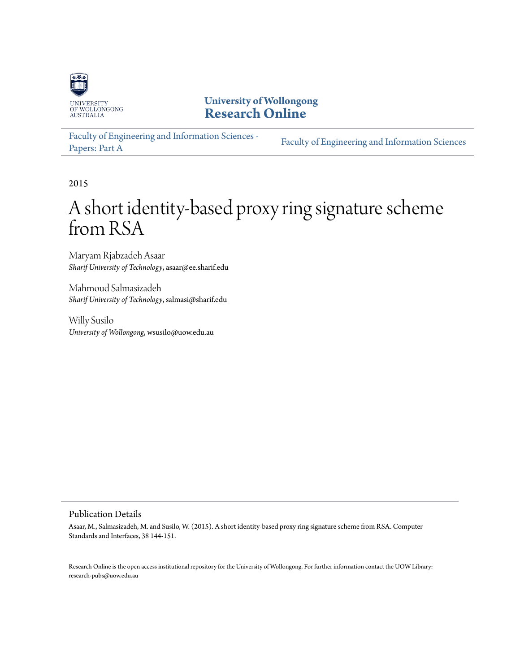

**University of Wollongong [Research Online](http://ro.uow.edu.au)**

[Faculty of Engineering and Information Sciences -](http://ro.uow.edu.au/eispapers) Paculty of Engineering and *Information Sciences*<br>[Papers: Part A](http://ro.uow.edu.au/eispapers)

2015

# A short identity-based proxy ring signature scheme from RSA

Maryam Rjabzadeh Asaar *Sharif University of Technology*, asaar@ee.sharif.edu

Mahmoud Salmasizadeh *Sharif University of Technology*, salmasi@sharif.edu

Willy Susilo *University of Wollongong*, wsusilo@uow.edu.au

# Publication Details

Asaar, M., Salmasizadeh, M. and Susilo, W. (2015). A short identity-based proxy ring signature scheme from RSA. Computer Standards and Interfaces, 38 144-151.

Research Online is the open access institutional repository for the University of Wollongong. For further information contact the UOW Library: research-pubs@uow.edu.au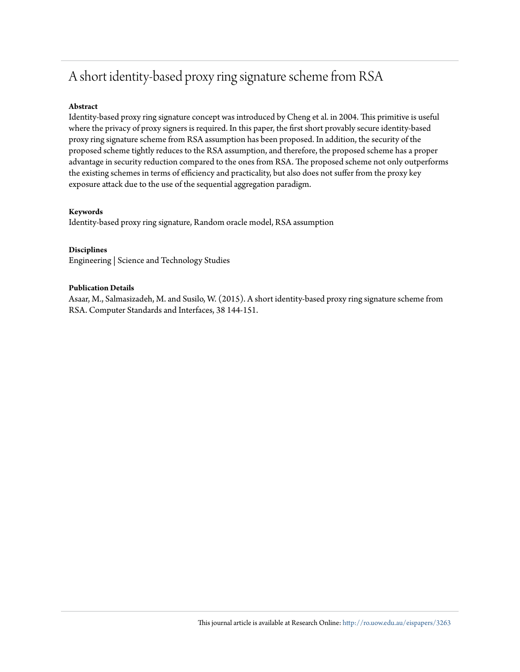# A short identity-based proxy ring signature scheme from RSA

# **Abstract**

Identity-based proxy ring signature concept was introduced by Cheng et al. in 2004. This primitive is useful where the privacy of proxy signers is required. In this paper, the first short provably secure identity-based proxy ring signature scheme from RSA assumption has been proposed. In addition, the security of the proposed scheme tightly reduces to the RSA assumption, and therefore, the proposed scheme has a proper advantage in security reduction compared to the ones from RSA. The proposed scheme not only outperforms the existing schemes in terms of efficiency and practicality, but also does not suffer from the proxy key exposure attack due to the use of the sequential aggregation paradigm.

# **Keywords**

Identity-based proxy ring signature, Random oracle model, RSA assumption

# **Disciplines**

Engineering | Science and Technology Studies

#### **Publication Details**

Asaar, M., Salmasizadeh, M. and Susilo, W. (2015). A short identity-based proxy ring signature scheme from RSA. Computer Standards and Interfaces, 38 144-151.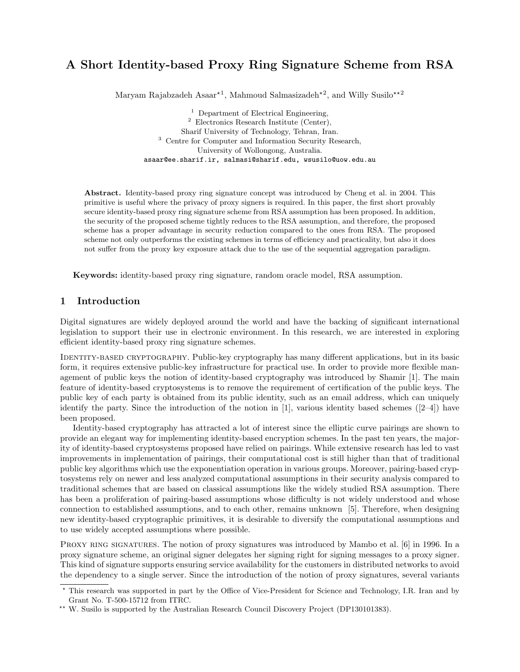# A Short Identity-based Proxy Ring Signature Scheme from RSA

Maryam Rajabzadeh Asaar<sup>\*1</sup>, Mahmoud Salmasizadeh<sup>\*2</sup>, and Willy Susilo<sup>\*\*2</sup>

<sup>1</sup> Department of Electrical Engineering, <sup>2</sup> Electronics Research Institute (Center), Sharif University of Technology, Tehran, Iran. <sup>3</sup> Centre for Computer and Information Security Research, University of Wollongong, Australia. asaar@ee.sharif.ir, salmasi@sharif.edu, wsusilo@uow.edu.au

Abstract. Identity-based proxy ring signature concept was introduced by Cheng et al. in 2004. This primitive is useful where the privacy of proxy signers is required. In this paper, the first short provably secure identity-based proxy ring signature scheme from RSA assumption has been proposed. In addition, the security of the proposed scheme tightly reduces to the RSA assumption, and therefore, the proposed scheme has a proper advantage in security reduction compared to the ones from RSA. The proposed scheme not only outperforms the existing schemes in terms of efficiency and practicality, but also it does not suffer from the proxy key exposure attack due to the use of the sequential aggregation paradigm.

Keywords: identity-based proxy ring signature, random oracle model, RSA assumption.

# 1 Introduction

Digital signatures are widely deployed around the world and have the backing of significant international legislation to support their use in electronic environment. In this research, we are interested in exploring efficient identity-based proxy ring signature schemes.

IDENTITY-BASED CRYPTOGRAPHY. Public-key cryptography has many different applications, but in its basic form, it requires extensive public-key infrastructure for practical use. In order to provide more flexible management of public keys the notion of identity-based cryptography was introduced by Shamir [1]. The main feature of identity-based cryptosystems is to remove the requirement of certification of the public keys. The public key of each party is obtained from its public identity, such as an email address, which can uniquely identify the party. Since the introduction of the notion in [1], various identity based schemes  $(2-4)$  have been proposed.

Identity-based cryptography has attracted a lot of interest since the elliptic curve pairings are shown to provide an elegant way for implementing identity-based encryption schemes. In the past ten years, the majority of identity-based cryptosystems proposed have relied on pairings. While extensive research has led to vast improvements in implementation of pairings, their computational cost is still higher than that of traditional public key algorithms which use the exponentiation operation in various groups. Moreover, pairing-based cryptosystems rely on newer and less analyzed computational assumptions in their security analysis compared to traditional schemes that are based on classical assumptions like the widely studied RSA assumption. There has been a proliferation of pairing-based assumptions whose difficulty is not widely understood and whose connection to established assumptions, and to each other, remains unknown [5]. Therefore, when designing new identity-based cryptographic primitives, it is desirable to diversify the computational assumptions and to use widely accepted assumptions where possible.

PROXY RING SIGNATURES. The notion of proxy signatures was introduced by Mambo et al. [6] in 1996. In a proxy signature scheme, an original signer delegates her signing right for signing messages to a proxy signer. This kind of signature supports ensuring service availability for the customers in distributed networks to avoid the dependency to a single server. Since the introduction of the notion of proxy signatures, several variants

<sup>?</sup> This research was supported in part by the Office of Vice-President for Science and Technology, I.R. Iran and by Grant No. T-500-15712 from ITRC.

<sup>\*\*</sup> W. Susilo is supported by the Australian Research Council Discovery Project (DP130101383).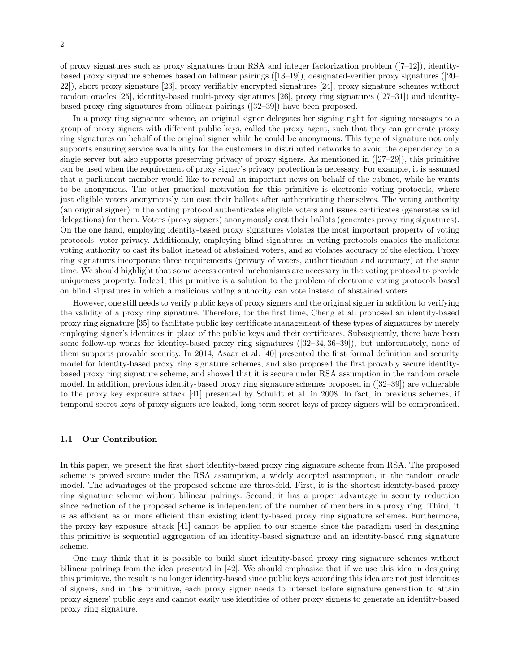of proxy signatures such as proxy signatures from RSA and integer factorization problem ([7–12]), identitybased proxy signature schemes based on bilinear pairings ([13–19]), designated-verifier proxy signatures ([20– 22]), short proxy signature [23], proxy verifiably encrypted signatures [24], proxy signature schemes without random oracles [25], identity-based multi-proxy signatures [26], proxy ring signatures ([27–31]) and identitybased proxy ring signatures from bilinear pairings ([32–39]) have been proposed.

In a proxy ring signature scheme, an original signer delegates her signing right for signing messages to a group of proxy signers with different public keys, called the proxy agent, such that they can generate proxy ring signatures on behalf of the original signer while he could be anonymous. This type of signature not only supports ensuring service availability for the customers in distributed networks to avoid the dependency to a single server but also supports preserving privacy of proxy signers. As mentioned in ([27–29]), this primitive can be used when the requirement of proxy signer's privacy protection is necessary. For example, it is assumed that a parliament member would like to reveal an important news on behalf of the cabinet, while he wants to be anonymous. The other practical motivation for this primitive is electronic voting protocols, where just eligible voters anonymously can cast their ballots after authenticating themselves. The voting authority (an original signer) in the voting protocol authenticates eligible voters and issues certificates (generates valid delegations) for them. Voters (proxy signers) anonymously cast their ballots (generates proxy ring signatures). On the one hand, employing identity-based proxy signatures violates the most important property of voting protocols, voter privacy. Additionally, employing blind signatures in voting protocols enables the malicious voting authority to cast its ballot instead of abstained voters, and so violates accuracy of the election. Proxy ring signatures incorporate three requirements (privacy of voters, authentication and accuracy) at the same time. We should highlight that some access control mechanisms are necessary in the voting protocol to provide uniqueness property. Indeed, this primitive is a solution to the problem of electronic voting protocols based on blind signatures in which a malicious voting authority can vote instead of abstained voters.

However, one still needs to verify public keys of proxy signers and the original signer in addition to verifying the validity of a proxy ring signature. Therefore, for the first time, Cheng et al. proposed an identity-based proxy ring signature [35] to facilitate public key certificate management of these types of signatures by merely employing signer's identities in place of the public keys and their certificates. Subsequently, there have been some follow-up works for identity-based proxy ring signatures ([32–34, 36–39]), but unfortunately, none of them supports provable security. In 2014, Asaar et al. [40] presented the first formal definition and security model for identity-based proxy ring signature schemes, and also proposed the first provably secure identitybased proxy ring signature scheme, and showed that it is secure under RSA assumption in the random oracle model. In addition, previous identity-based proxy ring signature schemes proposed in ([32–39]) are vulnerable to the proxy key exposure attack [41] presented by Schuldt et al. in 2008. In fact, in previous schemes, if temporal secret keys of proxy signers are leaked, long term secret keys of proxy signers will be compromised.

#### 1.1 Our Contribution

In this paper, we present the first short identity-based proxy ring signature scheme from RSA. The proposed scheme is proved secure under the RSA assumption, a widely accepted assumption, in the random oracle model. The advantages of the proposed scheme are three-fold. First, it is the shortest identity-based proxy ring signature scheme without bilinear pairings. Second, it has a proper advantage in security reduction since reduction of the proposed scheme is independent of the number of members in a proxy ring. Third, it is as efficient as or more efficient than existing identity-based proxy ring signature schemes. Furthermore, the proxy key exposure attack [41] cannot be applied to our scheme since the paradigm used in designing this primitive is sequential aggregation of an identity-based signature and an identity-based ring signature scheme.

One may think that it is possible to build short identity-based proxy ring signature schemes without bilinear pairings from the idea presented in [42]. We should emphasize that if we use this idea in designing this primitive, the result is no longer identity-based since public keys according this idea are not just identities of signers, and in this primitive, each proxy signer needs to interact before signature generation to attain proxy signers' public keys and cannot easily use identities of other proxy signers to generate an identity-based proxy ring signature.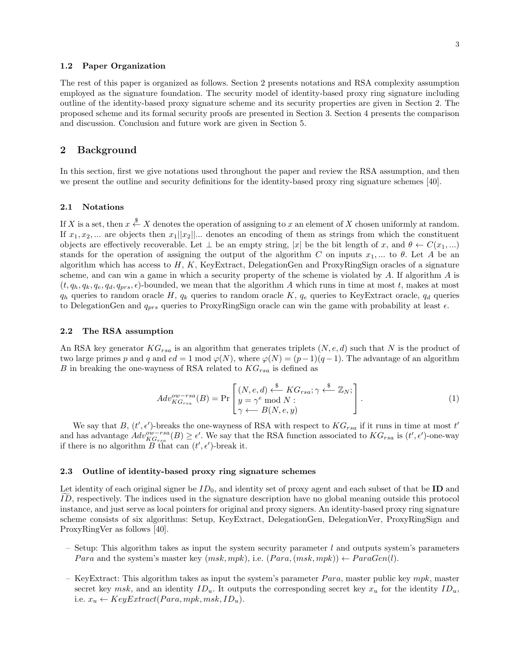#### 1.2 Paper Organization

The rest of this paper is organized as follows. Section 2 presents notations and RSA complexity assumption employed as the signature foundation. The security model of identity-based proxy ring signature including outline of the identity-based proxy signature scheme and its security properties are given in Section 2. The proposed scheme and its formal security proofs are presented in Section 3. Section 4 presents the comparison and discussion. Conclusion and future work are given in Section 5.

#### 2 Background

In this section, first we give notations used throughout the paper and review the RSA assumption, and then we present the outline and security definitions for the identity-based proxy ring signature schemes [40].

#### 2.1 Notations

If X is a set, then  $x \stackrel{\$}{\leftarrow} X$  denotes the operation of assigning to x an element of X chosen uniformly at random. If  $x_1, x_2, ...$  are objects then  $x_1||x_2||...$  denotes an encoding of them as strings from which the constituent objects are effectively recoverable. Let  $\bot$  be an empty string, |x| be the bit length of x, and  $\theta \leftarrow C(x_1,...)$ stands for the operation of assigning the output of the algorithm C on inputs  $x_1, ...$  to  $\theta$ . Let A be an algorithm which has access to  $H$ ,  $K$ , KeyExtract, DelegationGen and ProxyRingSign oracles of a signature scheme, and can win a game in which a security property of the scheme is violated by A. If algorithm A is  $(t, q_h, q_k, q_e, q_d, q_{prs}, \epsilon)$ -bounded, we mean that the algorithm A which runs in time at most t, makes at most  $q_h$  queries to random oracle H,  $q_k$  queries to random oracle K,  $q_e$  queries to KeyExtract oracle,  $q_d$  queries to DelegationGen and  $q_{prs}$  queries to ProxyRingSign oracle can win the game with probability at least  $\epsilon$ .

#### 2.2 The RSA assumption

An RSA key generator  $KG_{rsa}$  is an algorithm that generates triplets  $(N, e, d)$  such that N is the product of two large primes p and q and  $ed = 1 \mod \varphi(N)$ , where  $\varphi(N) = (p-1)(q-1)$ . The advantage of an algorithm B in breaking the one-wayness of RSA related to  $KG_{rsa}$  is defined as

$$
Adv_{KG_{rsa}}^{ow-rsa}(B) = \Pr\left[\begin{matrix} (N, e, d) \stackrel{\$}{\leftarrow} KG_{rsa}; \gamma \stackrel{\$}{\leftarrow} \mathbb{Z}_N; \\ y = \gamma^e \bmod N; \\ \gamma \longleftarrow B(N, e, y) \end{matrix}\right]. \tag{1}
$$

We say that B,  $(t', \epsilon')$ -breaks the one-wayness of RSA with respect to  $KG_{rsa}$  if it runs in time at most t' and has advantage  $Adv^{ow-rsa}_{KG_{rsa}}(B) \ge \epsilon'$ . We say that the RSA function associated to  $KG_{rsa}$  is  $(t', \epsilon')$ -one-way if there is no algorithm  $\overline{B}$  that can  $(t', \epsilon')$ -break it.

#### 2.3 Outline of identity-based proxy ring signature schemes

Let identity of each original signer be  $ID_0$ , and identity set of proxy agent and each subset of that be **ID** and ID, respectively. The indices used in the signature description have no global meaning outside this protocol instance, and just serve as local pointers for original and proxy signers. An identity-based proxy ring signature scheme consists of six algorithms: Setup, KeyExtract, DelegationGen, DelegationVer, ProxyRingSign and ProxyRingVer as follows [40].

- Setup: This algorithm takes as input the system security parameter l and outputs system's parameters *Para* and the system's master key  $(msk, mpk)$ , i.e.  $(Para, (msk, mpk)) \leftarrow ParaGen(l)$ .
- KeyExtract: This algorithm takes as input the system's parameter  $Para$ , master public key mpk, master secret key msk, and an identity  $ID_u$ . It outputs the corresponding secret key  $x_u$  for the identity  $ID_u$ , i.e.  $x_u \leftarrow KeyExtract(Para, mpk, msk, ID_u).$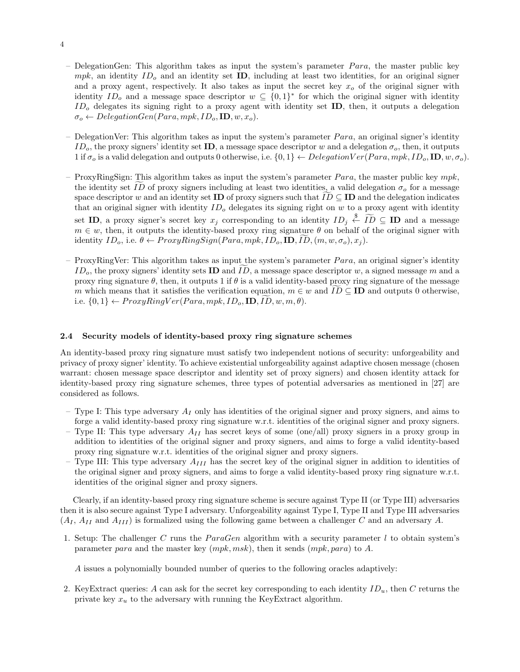- DelegationGen: This algorithm takes as input the system's parameter  $Para$ , the master public key  $mpk$ , an identity  $ID<sub>o</sub>$  and an identity set **ID**, including at least two identities, for an original signer and a proxy agent, respectively. It also takes as input the secret key  $x<sub>o</sub>$  of the original signer with identity  $ID_o$  and a message space descriptor  $w \subseteq \{0,1\}^*$  for which the original signer with identity  $ID<sub>o</sub>$  delegates its signing right to a proxy agent with identity set **ID**, then, it outputs a delegation  $\sigma_o \leftarrow DelegationGen(Para, mpk, ID_o, ID, w, x_o).$
- DelegationVer: This algorithm takes as input the system's parameter  $Para$ , an original signer's identity  $ID<sub>o</sub>$ , the proxy signers' identity set ID, a message space descriptor w and a delegation  $\sigma<sub>o</sub>$ , then, it outputs 1 if  $\sigma_o$  is a valid delegation and outputs 0 otherwise, i.e.  $\{0,1\} \leftarrow DelegationVer(Para, mpk, ID_o, ID, w, \sigma_o)$ .
- ProxyRingSign: This algorithm takes as input the system's parameter  $Para$ , the master public key  $mpk$ , the identity set ID of proxy signers including at least two identities, a valid delegation  $\sigma_0$  for a message space descriptor w and an identity set ID of proxy signers such that  $ID \subseteq ID$  and the delegation indicates that an original signer with identity  $ID<sub>o</sub>$  delegates its signing right on w to a proxy agent with identity set **ID**, a proxy signer's secret key  $x_j$  corresponding to an identity  $ID_j \stackrel{\$}{\leftarrow} \widetilde{ID} \subseteq ID$  and a message  $m \in w$ , then, it outputs the identity-based proxy ring signature  $\theta$  on behalf of the original signer with identity  $ID_o$ , i.e.  $\theta \leftarrow ProxyRingSign(Para, mpk, ID_o, ID, ID, (m, w, \sigma_o), x_i)$ .
- ProxyRingVer: This algorithm takes as input the system's parameter  $Para$ , an original signer's identity  $ID<sub>o</sub>$ , the proxy signers' identity sets **ID** and ID, a message space descriptor w, a signed message m and a proxy ring signature  $\theta$ , then, it outputs 1 if  $\theta$  is a valid identity-based proxy ring signature of the message m which means that it satisfies the verification equation,  $m \in w$  and  $ID \subseteq ID$  and outputs 0 otherwise, i.e.  $\{0,1\} \leftarrow ProxyRingVer(Para, mpk, ID_o, ID, ID, w, m, \theta).$

#### 2.4 Security models of identity-based proxy ring signature schemes

An identity-based proxy ring signature must satisfy two independent notions of security: unforgeability and privacy of proxy signer' identity. To achieve existential unforgeability against adaptive chosen message (chosen warrant: chosen message space descriptor and identity set of proxy signers) and chosen identity attack for identity-based proxy ring signature schemes, three types of potential adversaries as mentioned in [27] are considered as follows.

- Type I: This type adversary  $A_I$  only has identities of the original signer and proxy signers, and aims to forge a valid identity-based proxy ring signature w.r.t. identities of the original signer and proxy signers.
- Type II: This type adversary  $A_{II}$  has secret keys of some (one/all) proxy signers in a proxy group in addition to identities of the original signer and proxy signers, and aims to forge a valid identity-based proxy ring signature w.r.t. identities of the original signer and proxy signers.
- Type III: This type adversary  $A_{III}$  has the secret key of the original signer in addition to identities of the original signer and proxy signers, and aims to forge a valid identity-based proxy ring signature w.r.t. identities of the original signer and proxy signers.

Clearly, if an identity-based proxy ring signature scheme is secure against Type II (or Type III) adversaries then it is also secure against Type I adversary. Unforgeability against Type I, Type II and Type III adversaries  $(A_I, A_{II} \text{ and } A_{III})$  is formalized using the following game between a challenger C and an adversary A.

1. Setup: The challenger  $C$  runs the  $ParaGen$  algorithm with a security parameter  $l$  to obtain system's parameter para and the master key  $(mpk, msk)$ , then it sends  $(mpk, para)$  to A.

A issues a polynomially bounded number of queries to the following oracles adaptively:

2. KeyExtract queries: A can ask for the secret key corresponding to each identity  $ID_u$ , then C returns the private key  $x_u$  to the adversary with running the KeyExtract algorithm.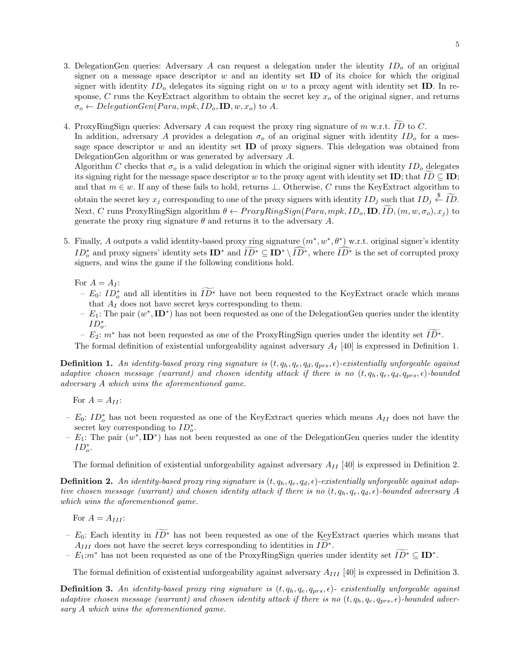3. DelegationGen queries: Adversary A can request a delegation under the identity  $ID<sub>o</sub>$  of an original signer on a message space descriptor  $w$  and an identity set **ID** of its choice for which the original signer with identity  $ID<sub>o</sub>$  delegates its signing right on w to a proxy agent with identity set **ID**. In response,  $C$  runs the KeyExtract algorithm to obtain the secret key  $x<sub>o</sub>$  of the original signer, and returns  $\sigma_o \leftarrow DelegationGen(Para, mpk, ID_o, ID, w, x_o)$  to A.

4. ProxyRingSign queries: Adversary A can request the proxy ring signature of  $m$  w.r.t. ID to C. In addition, adversary A provides a delegation  $\sigma_0$  of an original signer with identity ID<sub>o</sub> for a message space descriptor  $w$  and an identity set **ID** of proxy signers. This delegation was obtained from DelegationGen algorithm or was generated by adversary A. Algorithm C checks that  $\sigma_o$  is a valid delegation in which the original signer with identity  $ID_o$  delegates its signing right for the message space descriptor w to the proxy agent with identity set ID; that  $ID \subseteq ID$ ;

and that  $m \in w$ . If any of these fails to hold, returns  $\perp$ . Otherwise, C runs the KeyExtract algorithm to obtain the secret key  $x_j$  corresponding to one of the proxy signers with identity  $ID_j$  such that  $ID_j \overset{\$}{\leftarrow} \widetilde{ID}$ . Next, C runs ProxyRingSign algorithm  $\theta \leftarrow ProxyRingSign(Para, mpk, ID_o, ID, ID, (m, w, \sigma_o), x_i)$  to generate the proxy ring signature  $\theta$  and returns it to the adversary A.

5. Finally, A outputs a valid identity-based proxy ring signature  $(m^*, w^*, \theta^*)$  w.r.t. original signer's identity  $ID^*$  and proxy signers' identity sets  $ID^*$  and  $ID^* \subseteq ID^* \setminus \widehat{ID^*}$ , where  $\widehat{ID^*}$  is the set of corrupted proxy signers, and wins the game if the following conditions hold.

For  $A = A_I$ :

- $-E_0: ID^*$  and all identities in  $ID^*$  have not been requested to the KeyExtract oracle which means that  $A_I$  does not have secret keys corresponding to them.
- $E_1$ : The pair  $(w^*, \mathbf{ID}^*)$  has not been requested as one of the DelegationGen queries under the identity  $ID^*_{o}$ .
- $E_2$ :  $m^*$  has not been requested as one of the ProxyRingSign queries under the identity set  $ID^*$ .

The formal definition of existential unforgeability against adversary  $A_I$  [40] is expressed in Definition 1.

**Definition 1.** An identity-based proxy ring signature is  $(t, q_h, q_e, q_d, q_{prs}, \epsilon)$ -existentially unforgeable against adaptive chosen message (warrant) and chosen identity attack if there is no  $(t, q_h, q_e, q_d, q_{prs}, \epsilon)$ -bounded adversary A which wins the aforementioned game.

For  $A = A_{II}$ :

- $− E_0: ID_o^*$  has not been requested as one of the KeyExtract queries which means  $A_{II}$  does not have the secret key corresponding to  $ID_o^*$ .
- $E_1$ : The pair  $(w^*, \mathbf{ID}^*)$  has not been requested as one of the DelegationGen queries under the identity  $ID_o^*$ .

The formal definition of existential unforgeability against adversary  $A_{II}$  [40] is expressed in Definition 2.

**Definition 2.** An identity-based proxy ring signature is  $(t, q_h, q_e, q_d, \epsilon)$ -existentially unforgeable against adaptive chosen message (warrant) and chosen identity attack if there is no  $(t, q_h, q_e, q_d, \epsilon)$ -bounded adversary A which wins the aforementioned game.

For  $A = A_{III}$ :

- $E_0$ : Each identity in  $\widetilde{ID}^*$  has not been requested as one of the KeyExtract queries which means that  $A_{III}$  does not have the secret keys corresponding to identities in  $\widetilde{ID^*}$ .
- $E_1: m^*$  has not been requested as one of the ProxyRingSign queries under identity set  $ID^* \subseteq ID^*$ .

The formal definition of existential unforgeability against adversary  $A_{III}$  [40] is expressed in Definition 3.

**Definition 3.** An identity-based proxy ring signature is  $(t, q_h, q_e, q_{prs}, \epsilon)$ - existentially unforgeable against adaptive chosen message (warrant) and chosen identity attack if there is no  $(t, q_h, q_e, q_{prs}, \epsilon)$ -bounded adversary A which wins the aforementioned game.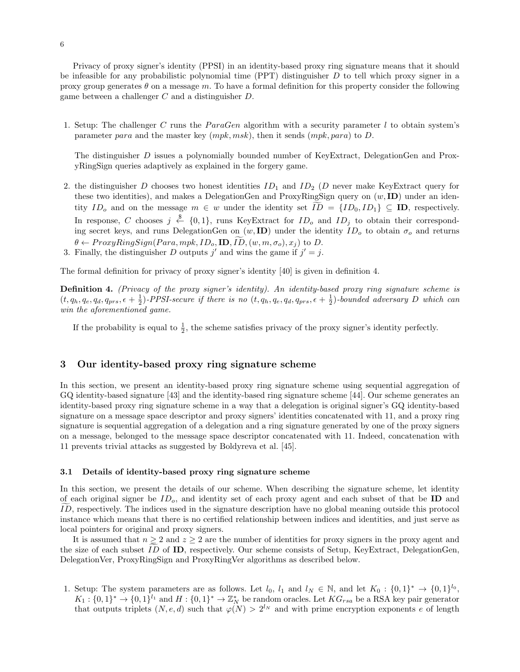Privacy of proxy signer's identity (PPSI) in an identity-based proxy ring signature means that it should be infeasible for any probabilistic polynomial time  $(PT)$  distinguisher D to tell which proxy signer in a proxy group generates  $\theta$  on a message m. To have a formal definition for this property consider the following game between a challenger C and a distinguisher D.

1. Setup: The challenger C runs the  $ParaGen$  algorithm with a security parameter l to obtain system's parameter para and the master key  $(mpk, msk)$ , then it sends  $(mpk, para)$  to D.

The distinguisher D issues a polynomially bounded number of KeyExtract, DelegationGen and ProxyRingSign queries adaptively as explained in the forgery game.

- 2. the distinguisher D chooses two honest identities  $ID_1$  and  $ID_2$  (D never make KeyExtract query for these two identities), and makes a DelegationGen and ProxyRingSign query on  $(w, ID)$  under an identity  $ID_o$  and on the message  $m \in w$  under the identity set  $ID = \{ID_0, ID_1\} \subseteq ID$ , respectively. In response, C chooses  $j \stackrel{\$}{\leftarrow} \{0,1\}$ , runs KeyExtract for  $ID_o$  and  $ID_j$  to obtain their corresponding secret keys, and runs DelegationGen on  $(w, ID)$  under the identity  $ID<sub>o</sub>$  to obtain  $\sigma<sub>o</sub>$  and returns  $\theta \leftarrow ProxyRingSign(Para, mpk, ID_o, ID, ID, (w, m, \sigma_o), x_j)$  to D.
- 3. Finally, the distinguisher D outputs j' and wins the game if  $j' = j$ .

The formal definition for privacy of proxy signer's identity [40] is given in definition 4.

Definition 4. (Privacy of the proxy signer's identity). An identity-based proxy ring signature scheme is  $(t, q_h, q_e, q_d, q_{prs}, \epsilon + \frac{1}{2})$ -PPSI-secure if there is no  $(t, q_h, q_e, q_d, q_{prs}, \epsilon + \frac{1}{2})$ -bounded adversary D which can win the aforementioned game.

If the probability is equal to  $\frac{1}{2}$ , the scheme satisfies privacy of the proxy signer's identity perfectly.

# 3 Our identity-based proxy ring signature scheme

In this section, we present an identity-based proxy ring signature scheme using sequential aggregation of GQ identity-based signature [43] and the identity-based ring signature scheme [44]. Our scheme generates an identity-based proxy ring signature scheme in a way that a delegation is original signer's GQ identity-based signature on a message space descriptor and proxy signers' identities concatenated with 11, and a proxy ring signature is sequential aggregation of a delegation and a ring signature generated by one of the proxy signers on a message, belonged to the message space descriptor concatenated with 11. Indeed, concatenation with 11 prevents trivial attacks as suggested by Boldyreva et al. [45].

#### 3.1 Details of identity-based proxy ring signature scheme

In this section, we present the details of our scheme. When describing the signature scheme, let identity of each original signer be  $ID<sub>o</sub>$ , and identity set of each proxy agent and each subset of that be  $ID$  and  $ID$ , respectively. The indices used in the signature description have no global meaning outside this protocol instance which means that there is no certified relationship between indices and identities, and just serve as local pointers for original and proxy signers.

It is assumed that  $n \geq 2$  and  $z \geq 2$  are the number of identities for proxy signers in the proxy agent and the size of each subset ID of ID, respectively. Our scheme consists of Setup, KeyExtract, DelegationGen, DelegationVer, ProxyRingSign and ProxyRingVer algorithms as described below.

1. Setup: The system parameters are as follows. Let  $l_0, l_1$  and  $l_N \in \mathbb{N}$ , and let  $K_0: \{0,1\}^* \to \{0,1\}^{l_0}$ ,  $K_1: \{0,1\}^* \to \{0,1\}^l$  and  $H: \{0,1\}^* \to \mathbb{Z}_N^*$  be random oracles. Let  $KG_{rsa}$  be a RSA key pair generator that outputs triplets  $(N, e, d)$  such that  $\varphi(N) > 2^{l_N}$  and with prime encryption exponents e of length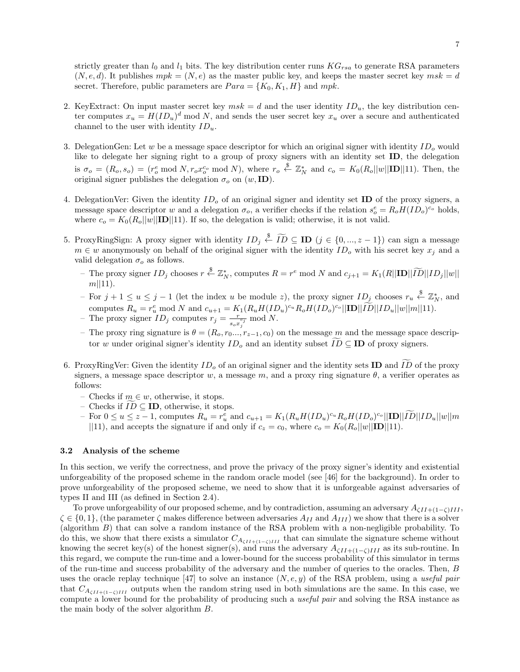strictly greater than  $l_0$  and  $l_1$  bits. The key distribution center runs  $KG_{rsa}$  to generate RSA parameters  $(N, e, d)$ . It publishes  $mpk = (N, e)$  as the master public key, and keeps the master secret key  $msk = d$ secret. Therefore, public parameters are  $Para = \{K_0, K_1, H\}$  and  $mpk$ .

- 2. KeyExtract: On input master secret key  $msk = d$  and the user identity  $ID_u$ , the key distribution center computes  $x_u = H(ID_u)^d \mod N$ , and sends the user secret key  $x_u$  over a secure and authenticated channel to the user with identity  $ID_u$ .
- 3. DelegationGen: Let w be a message space descriptor for which an original signer with identity  $ID<sub>o</sub>$  would like to delegate her signing right to a group of proxy signers with an identity set ID, the delegation is  $\sigma_o = (R_o, s_o) = (r_o^e \mod N, r_o x_o^{c_o} \mod N)$ , where  $r_o \stackrel{\$}{\leftarrow} \mathbb{Z}_N^*$  and  $c_o = K_0(R_o||w||\mathbf{ID}||11)$ . Then, the original signer publishes the delegation  $\sigma_o$  on  $(w, \mathbf{ID})$ .
- 4. DelegationVer: Given the identity  $ID<sub>o</sub>$  of an original signer and identity set ID of the proxy signers, a message space descriptor w and a delegation  $\sigma_o$ , a verifier checks if the relation  $s_o^e = R_o H(ID_o)^{c_o}$  holds, where  $c_o = K_0(R_o||w||\mathbf{ID}||11)$ . If so, the delegation is valid; otherwise, it is not valid.
- 5. ProxyRingSign: A proxy signer with identity  $ID_j \stackrel{\$}{\leftarrow} \widetilde{ID} \subseteq ID$   $(j \in \{0, ..., z-1\})$  can sign a message  $m \in w$  anonymously on behalf of the original signer with the identity  $ID<sub>o</sub>$  with his secret key  $x<sub>i</sub>$  and a valid delegation  $\sigma_o$  as follows.
	- The proxy signer  $ID_j$  chooses  $r \stackrel{\$}{\leftarrow} \mathbb{Z}_N^*$ , computes  $R = r^e \mod N$  and  $c_{j+1} = K_1(R||\mathbf{ID}||\widetilde{ID}||ID_j||w||$  $m||11$ .
	- $−$  For  $j + 1 \le u \le j 1$  (let the index u be module z), the proxy signer  $ID_j$  chooses  $r_u \stackrel{\$}{\leftarrow} \mathbb{Z}_N^*$ , and computes  $R_u = r_u^e \mod N$  and  $c_{u+1} = K_1(R_u H(ID_u)^{c_u} R_o H(ID_o)^{c_o} ||\mathbf{ID}||ID||ID_u||w||m||11)$ .<br>- The proxy signer  $ID_j$  computes  $r_j = \frac{r}{\sqrt{c_j}} \mod N$ .
	- $\frac{r}{s_o x_j^{c_j}} \bmod N.$
	- The proxy ring signature is  $\theta = (R_o, r_0, \ldots, r_{z-1}, c_0)$  on the message m and the message space descriptor w under original signer's identity  $ID_o$  and an identity subset  $ID \subseteq ID$  of proxy signers.
- 6. ProxyRingVer: Given the identity  $ID<sub>o</sub>$  of an original signer and the identity sets ID and  $ID$  of the proxy signers, a message space descriptor w, a message m, and a proxy ring signature  $\theta$ , a verifier operates as follows:
	- Checks if  $m \in w$ , otherwise, it stops.
	- Checks if  $ID ⊆ ID$ , otherwise, it stops.
	- $-$  For  $0 \le u \le z 1$ , computes  $R_u = r_u^e$  and  $c_{u+1} = K_1(R_u H(ID_u)^{c_u} R_o H(ID_o)^{c_o} ||\mathbf{ID}||ID||ID_u||w||m$ ||11), and accepts the signature if and only if  $c_z = c_0$ , where  $c_o = K_0(R_o||w||\mathbf{ID}||11)$ .

#### 3.2 Analysis of the scheme

In this section, we verify the correctness, and prove the privacy of the proxy signer's identity and existential unforgeability of the proposed scheme in the random oracle model (see [46] for the background). In order to prove unforgeability of the proposed scheme, we need to show that it is unforgeable against adversaries of types II and III (as defined in Section 2.4).

To prove unforgeability of our proposed scheme, and by contradiction, assuming an adversary  $A_{\zeta II+(1-\zeta)III}$  $\zeta \in \{0,1\}$ , (the parameter  $\zeta$  makes difference between adversaries  $A_{II}$  and  $A_{III}$ ) we show that there is a solver (algorithm B) that can solve a random instance of the RSA problem with a non-negligible probability. To do this, we show that there exists a simulator  $C_{A_{\zeta II+(1-\zeta)III}}$  that can simulate the signature scheme without knowing the secret key(s) of the honest signer(s), and runs the adversary  $A_{\zeta II+(1-\zeta)III}$  as its sub-routine. In this regard, we compute the run-time and a lower-bound for the success probability of this simulator in terms of the run-time and success probability of the adversary and the number of queries to the oracles. Then, B uses the oracle replay technique [47] to solve an instance  $(N, e, y)$  of the RSA problem, using a useful pair that  $C_{A_{\zeta II+(1-\zeta)III}}$  outputs when the random string used in both simulations are the same. In this case, we compute a lower bound for the probability of producing such a *useful pair* and solving the RSA instance as the main body of the solver algorithm B.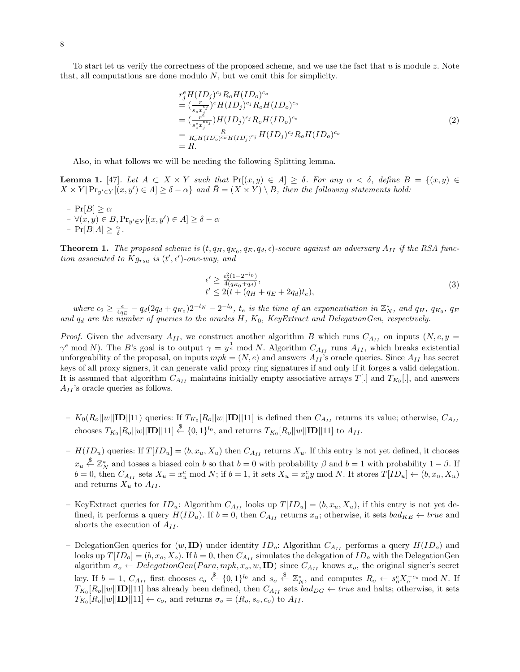To start let us verify the correctness of the proposed scheme, and we use the fact that  $u$  is module  $z$ . Note that, all computations are done modulo  $N$ , but we omit this for simplicity.

$$
r_j^e H(ID_j)^{c_j} R_o H(ID_o)^{c_o}
$$
  
= 
$$
(\frac{r}{s_o x_j^{c_j}})^e H(ID_j)^{c_j} R_o H(ID_o)^{c_o}
$$
  
= 
$$
(\frac{r^i}{s_o^{ec_j}}) H(ID_j)^{c_j} R_o H(ID_o)^{c_o}
$$
  
= 
$$
\frac{R}{R_o H(ID_o)^{c_o} H(ID_j)^{c_j}} H(ID_j)^{c_j} R_o H(ID_o)^{c_o}
$$
  
= R. (2)

Also, in what follows we will be needing the following Splitting lemma.

**Lemma 1.** [47]. Let  $A \subset X \times Y$  such that  $\Pr[(x, y) \in A] \geq \delta$ . For any  $\alpha < \delta$ , define  $B = \{(x, y) \in A\}$  $X \times Y | \Pr_{y' \in Y}[(x, y') \in A] \ge \delta - \alpha \}$  and  $\overline{B} = (X \times Y) \setminus B$ , then the following statements hold:

–  $Pr[B] \geq \alpha$  $- \forall (x, y) \in B, \Pr_{y' \in Y} [(x, y') \in A] \ge \delta - \alpha$ - Pr[ $B|A] \geq \frac{\alpha}{\delta}$ .

**Theorem 1.** The proposed scheme is  $(t, q_H, q_{K_0}, q_E, q_d, \epsilon)$ -secure against an adversary  $A_{II}$  if the RSA function associated to  $Kg_{rsa}$  is  $(t', \epsilon')$ -one-way, and

$$
\epsilon' \ge \frac{\epsilon_2^2 (1 - 2^{-l_0})}{4(q_{K_0} + q_d)}, \nt' \le 2(t + (q_H + q_E + 2q_d)t_e),
$$
\n(3)

where  $\epsilon_2 \geq \frac{\epsilon}{4q_E} - q_d(2q_d + q_{K_0})2^{-l_N} - 2^{-l_0}$ ,  $t_e$  is the time of an exponentiation in  $\mathbb{Z}_N^*$ , and  $q_H$ ,  $q_{K_0}$ ,  $q_E$ and  $q_d$  are the number of queries to the oracles H,  $K_0$ , KeyExtract and DelegationGen, respectively.

*Proof.* Given the adversary  $A_{II}$ , we construct another algorithm B which runs  $C_{A_{II}}$  on inputs  $(N, e, y =$  $\gamma^e \mod N$ ). The B's goal is to output  $\gamma = y^{\frac{1}{e}} \mod N$ . Algorithm  $C_{A_{II}}$  runs  $A_{II}$ , which breaks existential unforgeability of the proposal, on inputs  $mpk = (N, e)$  and answers  $A_{II}$ 's oracle queries. Since  $A_{II}$  has secret keys of all proxy signers, it can generate valid proxy ring signatures if and only if it forges a valid delegation. It is assumed that algorithm  $C_{A_{II}}$  maintains initially empty associative arrays  $T[.]$  and  $T_{K_0}[.]$ , and answers  $A_{II}$ 's oracle queries as follows.

- $K_0(R_o||w||\mathbf{ID}||11)$  queries: If  $T_{K_0}[R_o||w||\mathbf{ID}||11]$  is defined then  $C_{A_{II}}$  returns its value; otherwise,  $C_{A_{II}}$ chooses  $T_{K_0}[R_o||w||\mathbf{ID}||11] \stackrel{\$}{\leftarrow} \{0,1\}^{l_0}$ , and returns  $T_{K_0}[R_o||w||\mathbf{ID}||11]$  to  $A_{II}$ .
- $H(ID_u)$  queries: If  $T(ID_u] = (b, x_u, X_u)$  then  $C_{A_{II}}$  returns  $X_u$ . If this entry is not yet defined, it chooses  $x_u \overset{\$}{\leftarrow} \mathbb{Z}_N^*$  and tosses a biased coin b so that  $b = 0$  with probability  $\beta$  and  $b = 1$  with probability  $1 - \beta$ . If  $b = 0$ , then  $C_{A_{II}}$  sets  $X_u = x_u^e \mod N$ ; if  $b = 1$ , it sets  $X_u = x_u^e y \mod N$ . It stores  $T[ID_u] \leftarrow (b, x_u, X_u)$ and returns  $X_u$  to  $A_{II}$ .
- KeyExtract queries for  $ID_u$ : Algorithm  $C_{A_{II}}$  looks up  $T[ID_u] = (b, x_u, X_u)$ , if this entry is not yet defined, it performs a query  $H(ID_u)$ . If  $b = 0$ , then  $C_{A_{II}}$  returns  $x_u$ ; otherwise, it sets  $bad_{KE} \leftarrow true$  and aborts the execution of  $A_{II}$ .
- DelegationGen queries for  $(w, \mathbf{ID})$  under identity  $ID_o$ : Algorithm  $C_{A_{II}}$  performs a query  $H(ID_o)$  and looks up  $T[ID_o] = (b, x_o, X_o)$ . If  $b = 0$ , then  $C_{A_{II}}$  simulates the delegation of  $ID_o$  with the DelegationGen algorithm  $\sigma_o \leftarrow DelegationGen(Para, mpk, x_o, w, ID)$  since  $C_{A_{II}}$  knows  $x_o$ , the original signer's secret key. If  $b = 1$ ,  $C_{A_{II}}$  first chooses  $c_o \stackrel{\$}{\leftarrow} \{0,1\}^{l_0}$  and  $s_o \stackrel{\$}{\leftarrow} \mathbb{Z}_N^*$ , and computes  $R_o \leftarrow s_o^e X_o^{-c_o} \mod N$ . If  $T_{K_0}[R_o||w||\textbf{ID}||11]$  has already been defined, then  $C_{A_{II}}$  sets  $bad_{DG} \leftarrow true$  and halts; otherwise, it sets  $T_{K_0}[R_o||w||\textbf{ID}||11] \leftarrow c_o$ , and returns  $\sigma_o = (R_o, s_o, c_o)$  to  $A_{II}$ .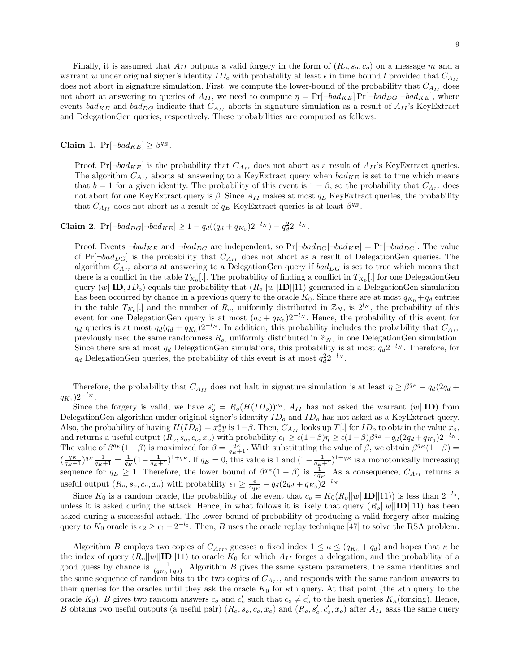Finally, it is assumed that  $A_{II}$  outputs a valid forgery in the form of  $(R_o, s_o, c_o)$  on a message m and a warrant w under original signer's identity  $ID<sub>o</sub>$  with probability at least  $\epsilon$  in time bound t provided that  $C_{A_{II}}$ does not abort in signature simulation. First, we compute the lower-bound of the probability that  $C_{A_{II}}$  does not abort at answering to queries of  $A_{II}$ , we need to compute  $\eta = \Pr[\neg bad_{KE}] \Pr[\neg bad_{DG} | \neg bad_{KE}]$ , where events  $bad_{KE}$  and  $bad_{DG}$  indicate that  $C_{A_{II}}$  aborts in signature simulation as a result of  $A_{II}$ 's KeyExtract and DelegationGen queries, respectively. These probabilities are computed as follows.

Claim 1.  $Pr[\neg bad_{KE}] \geq \beta^{q_E}$ .

Proof. Pr[ $\neg bad_{KE}$ ] is the probability that  $C_{A_{II}}$  does not abort as a result of  $A_{II}$ 's KeyExtract queries. The algorithm  $C_{A_{II}}$  aborts at answering to a KeyExtract query when  $bad_{KE}$  is set to true which means that  $b = 1$  for a given identity. The probability of this event is  $1 - \beta$ , so the probability that  $C_{A_{II}}$  does not abort for one KeyExtract query is  $\beta$ . Since  $A_{II}$  makes at most  $q_E$  KeyExtract queries, the probability that  $C_{A_{II}}$  does not abort as a result of  $q_E$  KeyExtract queries is at least  $\beta^{q_E}$ .

Claim 2.  $Pr[\neg bad_{DG} | \neg bad_{KE}] \ge 1 - q_d((q_d + q_{K_0})2^{-l_N}) - q_d^2 2^{-l_N}.$ 

Proof. Events  $\neg bad_{KE}$  and  $\neg bad_{DG}$  are independent, so  $Pr[\neg bad_{DG}|\neg bad_{KE}] = Pr[\neg bad_{DG}]$ . The value of  $Pr[\neg bad_{DG}]$  is the probability that  $C_{A_{II}}$  does not abort as a result of DelegationGen queries. The algorithm  $C_{A_{II}}$  aborts at answering to a DelegationGen query if  $bad_{DG}$  is set to true which means that there is a conflict in the table  $T_{K_0}$ . The probability of finding a conflict in  $T_{K_0}$ . for one DelegationGen query  $(w||\mathbf{ID}, ID_o)$  equals the probability that  $(R_o||w||\mathbf{ID}||11)$  generated in a DelegationGen simulation has been occurred by chance in a previous query to the oracle  $K_0$ . Since there are at most  $q_{K_0} + q_d$  entries in the table  $T_{K_0}$ . and the number of  $R_o$ , uniformly distributed in  $\mathbb{Z}_N$ , is  $2^{l_N}$ , the probability of this event for one DelegationGen query is at most  $(q_d + q_{K_0})2^{-l_N}$ . Hence, the probability of this event for  $q_d$  queries is at most  $q_d(q_d + q_{K_0})2^{-l_N}$ . In addition, this probability includes the probability that  $C_{A_{II}}$ previously used the same randomness  $R_o$ , uniformly distributed in  $\mathbb{Z}_N$ , in one DelegationGen simulation. Since there are at most  $q_d$  DelegationGen simulations, this probability is at most  $q_d 2^{-l_N}$ . Therefore, for  $q_d$  DelegationGen queries, the probability of this event is at most  $q_d^2 2^{-l_N}$ .

Therefore, the probability that  $C_{A_{II}}$  does not halt in signature simulation is at least  $\eta \ge \beta^{q_E} - q_d(2q_d +$  $q_{K_0}$ ) $2^{-l_N}$ .

Since the forgery is valid, we have  $s_o^e = R_o(H(ID_o))^{c_o}$ ,  $A_{II}$  has not asked the warrant  $(w||\mathbf{ID})$  from DelegationGen algorithm under original signer's identity  $ID<sub>o</sub>$  and  $ID<sub>o</sub>$  has not asked as a KeyExtract query. Also, the probability of having  $H(ID_o) = x_o^e y$  is  $1-\beta$ . Then,  $C_{A_{II}}$  looks up  $T[.]$  for  $ID_o$  to obtain the value  $x_o$ , and returns a useful output  $(R_o, s_o, c_o, x_o)$  with probability  $\epsilon_1 \ge \epsilon (1-\beta)\eta \ge \epsilon (1-\beta)\beta^{q_E} - q_d(2q_d + q_{K_0})2^{-l_N}$ . The value of  $\beta^{q_E}(1-\beta)$  is maximized for  $\beta = \frac{q_E}{q_E+1}$ . With substituting the value of  $\beta$ , we obtain  $\beta^{q_E}(1-\beta)$  $\left(\frac{q_E}{q_E+1}\right)^{q_E} \frac{1}{q_E+1} = \frac{1}{q_E} \left(1 - \frac{1}{q_E+1}\right)^{1+q_E}$ . If  $q_E = 0$ , this value is 1 and  $\left(1 - \frac{1}{q_E+1}\right)^{1+q_E}$  is a monotonically increasing sequence for  $q_E \geq 1$ . Therefore, the lower bound of  $\beta^{q_E}(1-\beta)$  is  $\frac{1}{4q_E}$ . As a consequence,  $C_{A_{II}}$  returns a useful output  $(R_o, s_o, c_o, x_o)$  with probability  $\epsilon_1 \ge \frac{\epsilon}{4q_E} - q_d(2q_d + q_{K_0})2^{-l_N}$ 

Since K<sub>0</sub> is a random oracle, the probability of the event that  $c_o = K_0(R_o||w||\mathbf{ID}||11)$  is less than  $2^{-l_0}$ , unless it is asked during the attack. Hence, in what follows it is likely that query  $(R_o||w||\mathbf{ID}||11)$  has been asked during a successful attack. The lower bound of probability of producing a valid forgery after making query to  $K_0$  oracle is  $\epsilon_2 \ge \epsilon_1 - 2^{-l_0}$ . Then, B uses the oracle replay technique [47] to solve the RSA problem.

Algorithm B employs two copies of  $C_{A_{II}}$ , guesses a fixed index  $1 \leq \kappa \leq (q_{K_0} + q_d)$  and hopes that  $\kappa$  be the index of query  $(R_o||w||\mathbf{ID}||11)$  to oracle  $K_0$  for which  $A_{II}$  forges a delegation, and the probability of a good guess by chance is  $\frac{1}{(q_{K_0}+q_d)}$ . Algorithm B gives the same system parameters, the same identities and the same sequence of random bits to the two copies of  $C_{A_{II}}$ , and responds with the same random answers to their queries for the oracles until they ask the oracle  $K_0$  for  $\kappa$ th query. At that point (the  $\kappa$ th query to the oracle  $K_0$ ), B gives two random answers  $c_o$  and  $c'_o$  such that  $c_o \neq c'_o$  to the hash queries  $K_{\kappa}$ (forking). Hence, B obtains two useful outputs (a useful pair)  $(R_o, s_o, c_o, x_o)$  and  $(R_o, s_o', c_o', x_o)$  after  $A_{II}$  asks the same query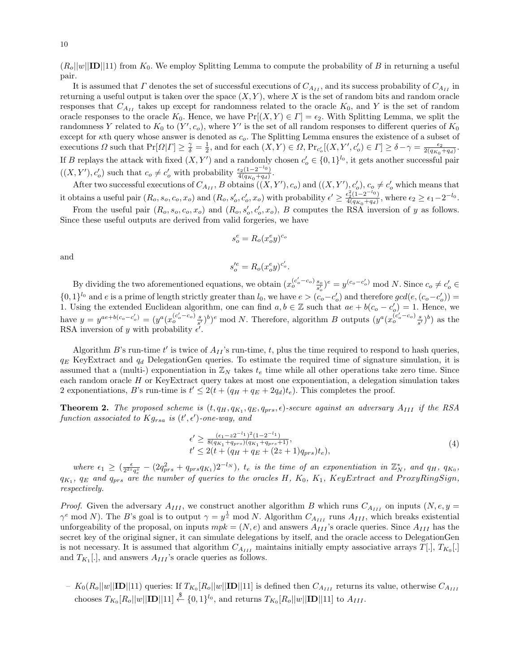$(R_o||w||\textbf{ID}||11)$  from  $K_0$ . We employ Splitting Lemma to compute the probability of B in returning a useful pair.

It is assumed that  $\Gamma$  denotes the set of successful executions of  $C_{A_{II}}$ , and its success probability of  $C_{A_{II}}$  in returning a useful output is taken over the space  $(X, Y)$ , where X is the set of random bits and random oracle responses that  $C_{A_{II}}$  takes up except for randomness related to the oracle  $K_0$ , and Y is the set of random oracle responses to the oracle K<sub>0</sub>. Hence, we have  $Pr[(X, Y) \in \Gamma] = \epsilon_2$ . With Splitting Lemma, we split the randomness Y related to  $K_0$  to  $(Y', c_o)$ , where Y' is the set of all random responses to different queries of  $K_0$ except for  $\kappa$ th query whose answer is denoted as  $c_o$ . The Splitting Lemma ensures the existence of a subset of executions  $\Omega$  such that  $Pr[\Omega| \Gamma] \geq \frac{\gamma}{\delta} = \frac{1}{2}$ , and for each  $(X, Y) \in \Omega$ ,  $Pr_{c_o'}[(X, Y', c_o') \in \Gamma] \geq \delta - \gamma = \frac{\epsilon_2}{2(q_{K_0} + q_d)}$ . If B replays the attack with fixed  $(X, Y')$  and a randomly chosen  $c'_{o} \in \{0, 1\}^{l_{0}}$ , it gets another successful pair  $((X, Y'), c'_o)$  such that  $c_o \neq c'_o$  with probability  $\frac{\epsilon_2(1-2^{-l_0})}{4(q_{K_o}+q_d)}$  $\frac{\epsilon_2(1-2)}{4(q_{K_0}+q_d)}$ .

After two successful executions of  $C_{A_{II}}$ , B obtains  $((X, Y'), c_o)$  and  $((X, Y'), c_o')$ ,  $c_o \neq c_o'$  which means that it obtains a useful pair  $(R_o, s_o, c_o, x_o)$  and  $(R_o, s'_o, c'_o, x_o)$  with probability  $\epsilon' \geq \frac{\epsilon_2^2(1-2^{-l_0})}{4(q_{K_o}+q_d)}$  $\frac{\epsilon_2^2(1-2^{-\epsilon_0})}{4(q_{K_0}+q_d)},$  where  $\epsilon_2 \geq \epsilon_1-2^{-l_0}.$ 

From the useful pair  $(R_o, s_o, c_o, x_o)$  and  $(R_o, s_o', c_o', x_o)$ , B computes the RSA inversion of y as follows. Since these useful outputs are derived from valid forgeries, we have

$$
s_o^e = R_o(x_o^e y)^{c_o}
$$

and

$$
s_o^{\prime e} = R_o(x_o^e y)^{c_o^{\prime}}.
$$

By dividing the two aforementioned equations, we obtain  $(x_o^{(c_o'-c_o)}\frac{s_o}{s_o'})^e = y^{(c_o-c_o')}$  mod N. Since  $c_o \neq c_o' \in$  $\{0,1\}^{l_0}$  and e is a prime of length strictly greater than  $l_0$ , we have  $e > (c_o - c'_o)$  and therefore  $gcd(e, (c_o - c'_o))$ 1. Using the extended Euclidean algorithm, one can find  $a, b \in \mathbb{Z}$  such that  $ae + b(c_o - c'_o) = 1$ . Hence, we have  $y = y^{ae+b(c_o - c_o')} = (y^a (x_o^{(c_o'-c_o)} s_a)^b)^e \mod N$ . Therefore, algorithm B outputs  $(y^a (x_o^{(c_o'-c_o)} s_a)^b)$  as the RSA inversion of y with probability  $\epsilon'$ .

Algorithm B's run-time  $t'$  is twice of  $A_{II}$ 's run-time, t, plus the time required to respond to hash queries,  $q_E$  KeyExtract and  $q_d$  DelegationGen queries. To estimate the required time of signature simulation, it is assumed that a (multi-) exponentiation in  $\mathbb{Z}_N$  takes  $t_e$  time while all other operations take zero time. Since each random oracle H or KeyExtract query takes at most one exponentiation, a delegation simulation takes 2 exponentiations, B's run-time is  $t' \leq 2(t + (q_H + q_E + 2q_d)t_e)$ . This completes the proof.

**Theorem 2.** The proposed scheme is  $(t, q_H, q_{K_1}, q_E, q_{prs}, \epsilon)$ -secure against an adversary  $A_{III}$  if the RSA function associated to  $Kg_{rsa}$  is  $(t', \epsilon')$ -one-way, and

$$
\epsilon' \ge \frac{(\epsilon_1 - z 2^{-l_1})^2 (1 - 2^{-l_1})}{8(q_{K_1} + q_{prs})(q_{K_1} + q_{prs} + 1)}, \nt' \le 2(t + (q_H + q_E + (2z + 1)q_{prs})t_e),
$$
\n(4)

where  $\epsilon_1 \geq (\frac{\epsilon}{2^{2z}q_e^z} - (2q_{prs}^2 + q_{prs}q_{K_1})2^{-l_N})$ ,  $t_e$  is the time of an exponentiation in  $\mathbb{Z}_N^*$ , and  $q_H$ ,  $q_{K_0}$ ,  $q_{K_1}$ ,  $q_E$  and  $q_{prs}$  are the number of queries to the oracles H,  $K_0$ ,  $K_1$ , KeyExtract and ProxyRingSign, respectively.

*Proof.* Given the adversary  $A_{III}$ , we construct another algorithm B which runs  $C_{A_{III}}$  on inputs  $(N, e, y =$  $\gamma^e \mod N$ ). The B's goal is to output  $\gamma = y^{\frac{1}{e}} \mod N$ . Algorithm  $C_{A_{III}}$  runs  $A_{III}$ , which breaks existential unforgeability of the proposal, on inputs  $mpk = (N, e)$  and answers  $A_{III}$ 's oracle queries. Since  $A_{III}$  has the secret key of the original signer, it can simulate delegations by itself, and the oracle access to DelegationGen is not necessary. It is assumed that algorithm  $C_{A_{III}}$  maintains initially empty associative arrays  $T[.]$ ,  $T_{K_0}[.]$ and  $T_{K_1}$ [.], and answers  $A_{III}$ 's oracle queries as follows.

 $-|K_0(R_o||w||\textbf{ID}||11)$  queries: If  $T_{K_0}[R_o||w||\textbf{ID}||11]$  is defined then  $C_{A_{III}}$  returns its value, otherwise  $C_{A_{III}}$ chooses  $T_{K_0}[R_o||w||\textbf{ID}||11] \stackrel{\$}{\leftarrow} \{0,1\}^{l_0}$ , and returns  $T_{K_0}[R_o||w||\textbf{ID}||11]$  to  $A_{III}$ .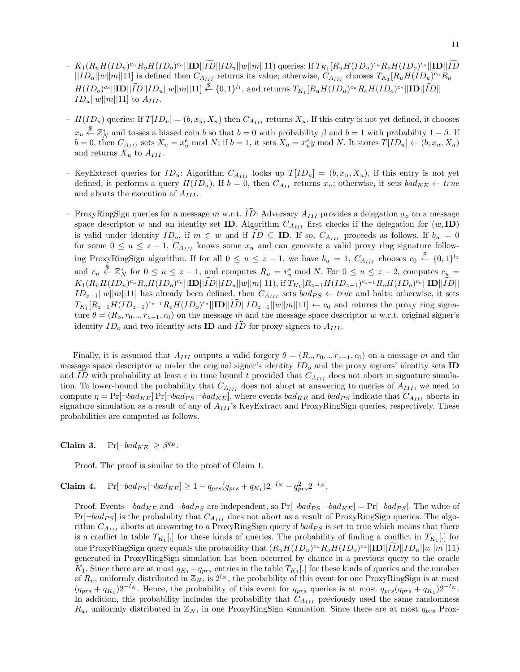- $K_1(R_uH(ID_u)^{c_u}R_oH(ID_o)^{c_o}||\mathbf{ID}||ID||ID_u||w||m||11)$  queries: If  $T_{K_1}[R_uH(ID_u)^{c_u}R_oH(ID_o)^{c_o}||\mathbf{ID}||ID_u||T_o||$  $||ID_u||w||m||11]$  is defined then  $C_{A_{III}}$  returns its value; otherwise,  $C_{A_{III}}$  chooses  $T_{K_1}[R_uH(ID_u)^{c_u}R_v$  $H(ID_o)^{c_o} \vert\vert\mathbf{ID} \vert\vert \widetilde{ID} \vert\vert ID_u \vert\vert w \vert\vert m \vert\vert 11] \overset{\$}{\leftarrow} \{0,1\}^{l_1}$ , and returns  $T_{K_1}[R_u H(ID_u)^{c_u} R_o H(ID_o)^{c_o} \vert\vert\mathbf{ID} \vert\vert \widetilde{ID} \vert\vert$  $ID_u||w||m||11]$  to  $A_{III}$ .
- $H(ID_u)$  queries: If  $T(ID_u] = (b, x_u, X_u)$  then  $C_{A_{III}}$  returns  $X_u$ . If this entry is not yet defined, it chooses  $x_u \overset{\$}{\leftarrow} \mathbb{Z}_N^*$  and tosses a biased coin b so that  $b = 0$  with probability  $\beta$  and  $b = 1$  with probability  $1 - \beta$ . If  $b = 0$ , then  $C_{A_{III}}$  sets  $X_u = x_u^e \mod N$ ; if  $b = 1$ , it sets  $X_u = x_u^e y \mod N$ . It stores  $T[ID_u] \leftarrow (b, x_u, X_u)$ and returns  $X_u$  to  $A_{III}$ .
- KeyExtract queries for  $ID_u$ : Algorithm  $C_{A_{III}}$  looks up  $T[ID_u] = (b, x_u, X_u)$ , if this entry is not yet defined, it performs a query  $H(ID_u)$ . If  $b = 0$ , then  $C_{A_{II}}$  returns  $x_u$ ; otherwise, it sets  $bad_{KE} \leftarrow true$ and aborts the execution of  $A_{III}$ .
- ProxyRingSign queries for a message m w.r.t. ID: Adversary  $A_{III}$  provides a delegation  $\sigma_o$  on a message space descriptor w and an identity set **ID**. Algorithm  $C_{A_{III}}$  first checks if the delegation for  $(w, \text{ID})$ is valid under identity  $ID_o$ , if  $m \in w$  and if  $ID \subseteq ID$ . If so,  $C_{A_{III}}$  proceeds as follows. If  $b_u = 0$ for some  $0 \le u \le z - 1$ ,  $C_{A_{III}}$  knows some  $x_u$  and can generate a valid proxy ring signature following ProxyRingSign algorithm. If for all  $0 \le u \le z - 1$ , we have  $b_u = 1$ ,  $C_{A_{III}}$  chooses  $c_0 \stackrel{\$}{\leftarrow} \{0,1\}^{l_1}$ and  $r_u \stackrel{\$}{\leftarrow} \mathbb{Z}_N^*$  for  $0 \le u \le z - 1$ , and computes  $R_u = r_u^e \mod N$ . For  $0 \le u \le z - 2$ , computes  $c_u =$ K1(RuH(IDu) <sup>c</sup><sup>u</sup> RoH(IDo) <sup>c</sup><sup>o</sup> ||ID||ID<sup>f</sup> ||IDu||w||m||11), if <sup>T</sup>K<sup>1</sup> [Rz−1H(IDz−1) <sup>c</sup>z−1RoH(IDo) <sup>c</sup><sup>o</sup> ||ID||ID<sup>f</sup> ||  $ID_{z-1}||w||m||11]$  has already been defined, then  $C_{A_{III}}$  sets  $bad_{PS} \leftarrow true$  and halts; otherwise, it sets  $T_{K_1}[R_{z-1}H(ID_{z-1})^{c_{z-1}}R_0H(ID_0)^{c_0}||\mathbf{ID}||ID||ID_{z-1}||w||m||11] \leftarrow c_0$  and returns the proxy ring signature  $\theta = (R_o, r_0, \ldots, r_{z-1}, c_0)$  on the message m and the message space descriptor w w.r.t. original signer's identity  $ID<sub>o</sub>$  and two identity sets **ID** and  $ID$  for proxy signers to  $A<sub>III</sub>$ .

Finally, it is assumed that  $A_{III}$  outputs a valid forgery  $\theta = (R_o, r_0, \ldots, r_{z-1}, c_0)$  on a message m and the message space descriptor  $w$  under the original signer's identity  $ID<sub>o</sub>$  and the proxy signers' identity sets ID and ID with probability at least  $\epsilon$  in time bound t provided that  $C_{A_{III}}$  does not abort in signature simulation. To lower-bound the probability that  $C_{A_{III}}$  does not abort at answering to queries of  $A_{III}$ , we need to compute  $\eta = \Pr[\neg bad_{KE}] \Pr[\neg bad_{FS} | \neg bad_{KE}]$ , where events  $bad_{KE}$  and  $bad_{PS}$  indicate that  $C_{A_{III}}$  aborts in signature simulation as a result of any of  $A_{III}$ 's KeyExtract and ProxyRingSign queries, respectively. These probabilities are computed as follows.

Claim 3.  $Pr[\neg bad_{KE}] \geq \beta^{q_E}$ .

Proof. The proof is similar to the proof of Claim 1.

**Claim 4.** 
$$
\Pr[\neg bad_{PS} | \neg bad_{KE}] \ge 1 - q_{prs}(q_{prs} + q_{K_1})2^{-l_N} - q_{prs}^2 2^{-l_N}.
$$

Proof. Events  $\neg bad_{KE}$  and  $\neg bad_{PS}$  are independent, so  $Pr[\neg bad_{PS}|\neg bad_{KE}] = Pr[\neg bad_{PS}]$ . The value of  $Pr[\neg bad_{PS}]$  is the probability that  $C_{A_{III}}$  does not abort as a result of ProxyRingSign queries. The algorithm  $C_{A_{III}}$  aborts at answering to a ProxyRingSign query if  $bad_{PS}$  is set to true which means that there is a conflict in table  $T_{K_1}$ . for these kinds of queries. The probability of finding a conflict in  $T_{K_1}$ . for one ProxyRingSign query equals the probability that  $(R_u H(ID_u)^{c_u} R_o H(ID_o)^{c_o} ||\mathbf{ID}||ID||ID|| ||D_u||w|| ||1||$ generated in ProxyRingSign simulation has been occurred by chance in a previous query to the oracle  $K_1$ . Since there are at most  $q_{K_1} + q_{prs}$  entries in the table  $T_{K_1}$ . for these kinds of queries and the number of  $R_u$ , uniformly distributed in  $\mathbb{Z}_N$ , is  $2^{l_N}$ , the probability of this event for one ProxyRingSign is at most  $(q_{prs} + q_{K_1})2^{-l_N}$ . Hence, the probability of this event for  $q_{prs}$  queries is at most  $q_{prs}(q_{prs} + q_{K_1})2^{-l_N}$ . In addition, this probability includes the probability that  $C_{A_{III}}$  previously used the same randomness  $R_u$ , uniformly distributed in  $\mathbb{Z}_N$ , in one ProxyRingSign simulation. Since there are at most  $q_{prs}$  Prox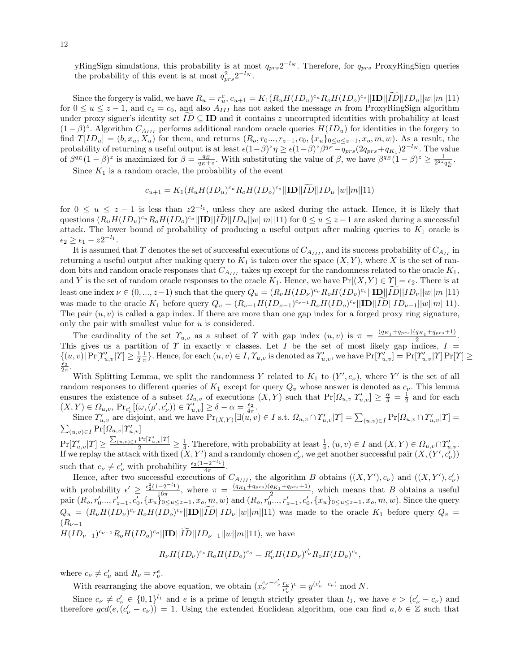yRingSign simulations, this probability is at most  $q_{prs}2^{-l_N}$ . Therefore, for  $q_{prs}$  ProxyRingSign queries the probability of this event is at most  $q_{prs}^2 2^{-l_N}$ .

Since the forgery is valid, we have  $R_u = r_u^e$ ,  $c_{u+1} = K_1(R_uH(ID_u)^{c_u}R_oH(ID_o)^{c_o}||\mathbf{ID}||ID||ID||u||w||m||11)$ for  $0 \le u \le z - 1$ , and  $c_z = c_0$ , and also  $A_{III}$  has not asked the message m from ProxyRingSign algorithm under proxy signer's identity set  $ID \subseteq ID$  and it contains z uncorrupted identities with probability at least  $(1 - \beta)^z$ . Algorithm  $C_{A_{III}}$  performs additional random oracle queries  $H(ID_u)$  for identities in the forgery to find  $T[ID_u] = (b, x_u, X_u)$  for them, and returns  $(R_o, r_0..., r_{z-1}, c_0, \{x_u\}_{0 \le u \le z-1}, x_o, m, w)$ . As a result, the probability of returning a useful output is at least  $\epsilon (1-\beta)^z \eta \geq \epsilon (1-\beta)^z \beta^{q_E} - q_{prs}(2q_{prs} + q_{K_1})2^{-l_N}$ . The value of  $\beta^{q_E}(1-\beta)^z$  is maximized for  $\beta = \frac{q_E}{q_E+z}$ . With substituting the value of  $\beta$ , we have  $\beta^{q_E}(1-\beta)^z \ge \frac{1}{2^{2z}q_E^z}$ .

Since  $K_1$  is a random oracle, the probability of the event

$$
c_{u+1} = K_1(R_u H(ID_u)^{c_u} R_o H(ID_o)^{c_o} ||\mathbf{ID}||ID||ID_u||w||m||11)
$$

for  $0 \le u \le z - 1$  is less than  $z2^{-l_1}$ , unless they are asked during the attack. Hence, it is likely that questions  $(R_u H(ID_u)^{c_u} R_o H(ID_o)^{c_o} ||\mathbf{ID}||ID||ID_u||w||m||11)$  for  $0 \le u \le z-1$  are asked during a successful attack. The lower bound of probability of producing a useful output after making queries to  $K_1$  oracle is  $\epsilon_2 \geq \epsilon_1 - z 2^{-l_1}.$ 

It is assumed that  $\Upsilon$  denotes the set of successful executions of  $C_{A_{III}}$ , and its success probability of  $C_{A_{II}}$  in returning a useful output after making query to  $K_1$  is taken over the space  $(X, Y)$ , where X is the set of random bits and random oracle responses that  $C_{A_{III}}$  takes up except for the randomness related to the oracle  $K_1$ , and Y is the set of random oracle responses to the oracle  $K_1$ . Hence, we have  $Pr[(X, Y) \in \Upsilon] = \epsilon_2$ . There is at least one index  $\nu \in (0, ..., z-1)$  such that the query  $Q_u = (R_\nu H(ID_\nu)^{c_\nu} R_o H(ID_o)^{c_o} ||\mathbf{ID}||ID_\nu||w||m||11)$ was made to the oracle  $K_1$  before query  $Q_v = (R_{\nu-1}H(ID_{\nu-1})^{c_{\nu-1}}R_oH(ID_o)^{c_o}||\mathbf{ID}||ID||ID_{\nu-1}||w||m||11)$ . The pair  $(u, v)$  is called a gap index. If there are more than one gap index for a forged proxy ring signature, only the pair with smallest value for  $u$  is considered.

The cardinality of the set  $\Upsilon_{u,v}$  as a subset of  $\Upsilon$  with gap index  $(u, v)$  is  $\pi = \frac{(q_{K_1} + q_{prs})(q_{K_1} + q_{prs} + 1)}{2}$ . This gives us a partition of  $\Upsilon$  in exactly  $\pi$  classes. Let I be the set of most likely gap indices,  $I =$  $\{(u, v) | \Pr[\Upsilon'_{u,v} | \Upsilon] \geq \frac{1}{2} \frac{1}{\pi}\}.$  Hence, for each  $(u, v) \in I$ ,  $\Upsilon_{u,v}$  is denoted as  $\Upsilon'_{u,v}$ , we have  $\Pr[\Upsilon'_{u,v}] = \Pr[\Upsilon'_{u,v} | \Upsilon] \Pr[\Upsilon] \geq$  $\epsilon_2$  $2\pi$ .

With Splitting Lemma, we split the randomness Y related to  $K_1$  to  $(Y', c_\nu)$ , where Y' is the set of all random responses to different queries of  $K_1$  except for query  $Q_v$  whose answer is denoted as  $c_v$ . This lemma ensures the existence of a subset  $\Omega_{u,v}$  of executions  $(X,Y)$  such that  $Pr[\Omega_{u,v}|\gamma'_{u,v}] \ge \frac{\alpha}{\delta} = \frac{1}{2}$  and for each  $(X,Y) \in \Omega_{u,v}, \, \text{Pr}_{c'_{\nu}}[(\omega, (\rho', c'_{\nu})) \in \Upsilon'_{u,v}] \ge \delta - \alpha = \frac{\epsilon_2}{4\pi}.$ 

Since  $\Upsilon'_{u,v}$  are disjoint, and we have  $\Pr_{(X,Y)}[\exists (u,v) \in I \text{ s.t. } \Omega_{u,v} \cap \Upsilon'_{u,v} | \Upsilon] = \sum_{(u,v) \in I} \Pr[\Omega_{u,v} \cap \Upsilon'_{u,v} | \Upsilon] =$  $\sum_{(u,v)\in I} \Pr[\Omega_{u,v}|\Upsilon'_{u,v}]$ 

 $Pr[\Upsilon'_{u,v}|\Upsilon] \geq \frac{\sum_{(u,v)\in I} Pr[\Upsilon'_{u,v}|\Upsilon]}{2} \geq \frac{1}{4}$ . Therefore, with probability at least  $\frac{1}{4}$ ,  $(u,v)\in I$  and  $(X,Y)\in \Omega_{u,v}\cap \Upsilon'_{u,v}$ . If we replay the attack with fixed  $(X, Y')$  and a randomly chosen  $c'_\nu$ , we get another successful pair  $(X, (Y', c'_\nu))$ such that  $c_{\nu} \neq c'_{\nu}$  with probability  $\frac{\epsilon_2(1-2^{-l_1})}{4\pi}$  $4\pi$ .

Hence, after two successful executions of  $C_{A_{III}}$ , the algorithm B obtains  $((X, Y'), c_\nu)$  and  $((X, Y'), c'_\nu)$ with probability  $\epsilon' \geq \frac{\epsilon_2^2(1-2^{-l_1})}{16\pi}$  $\frac{(-2^{-l_1})}{16\pi}$ , where  $\pi = \frac{(q_{K_1}+q_{prs})(q_{K_1}+q_{prs}+1)}{2}$ , which means that B obtains a useful pair  $(R_o, r'_0, ..., r'_{z-1}, c'_0, \{x_u\}_{0 \le u \le z-1}, x_o, m, w)$  and  $(R_o, r'_0, ..., r'_{z-1}, c'_0, \{x_u\}_{0 \le u \le z-1}, x_o, m, w)$ . Since the query  $Q_u = (R_\nu H(ID_\nu)^{c_\nu} R_o H(ID_o)^{c_o} ||\mathbf{ID}||ID||ID_\nu||w||m||11)$  was made to the oracle  $K_1$  before query  $Q_v =$  $(R_{\nu-1})$ 

 $H(ID_{\nu-1})^{c_{\nu-1}} R_o H(ID_o)^{c_o} ||**ID**||ID ||ID_{\nu-1}||w||m||11),$  we have

$$
R_{\nu}H(ID_{\nu})^{c_{\nu}}R_{\nu}H(ID_{\nu})^{c_{\nu}}=R_{\nu}'H(ID_{\nu})^{c_{\nu}'}R_{\nu}H(ID_{\nu})^{c_{\nu}},
$$

where  $c_{\nu} \neq c'_{\nu}$  and  $R_{\nu} = r_{\nu}^e$ .

With rearranging the above equation, we obtain  $(x_{\nu}^{c_{\nu}-c_{\nu}'}\frac{r_{\nu}}{r_{\nu}'})^e = y^{(c_{\nu}'-c_{\nu})} \mod N$ .

Since  $c_{\nu} \neq c'_{\nu} \in \{0,1\}^{l_1}$  and e is a prime of length strictly greater than  $l_1$ , we have  $e > (c'_{\nu} - c_{\nu})$  and therefore  $gcd(e, (c'_\nu - c_\nu)) = 1$ . Using the extended Euclidean algorithm, one can find  $a, b \in \mathbb{Z}$  such that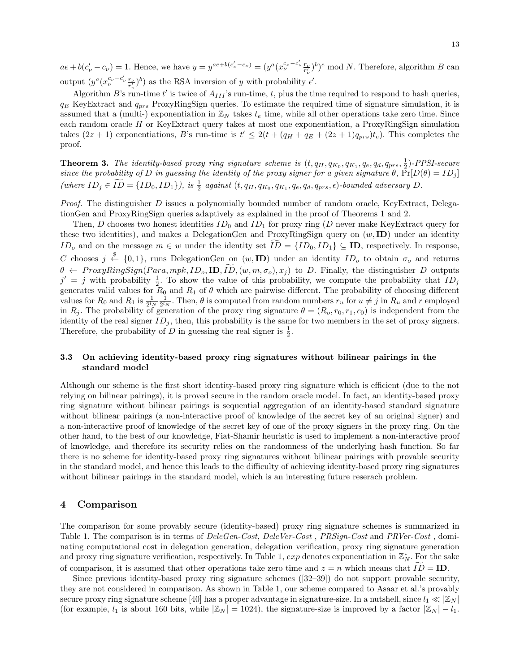$ae + b(c'_\nu - c_\nu) = 1$ . Hence, we have  $y = y^{ae + b(c'_\nu - c_\nu)} = (y^a (x^{c_\nu - c'_\nu}_{\nu - c'_\nu})^b)^e \mod N$ . Therefore, algorithm B can output  $(y^a (x_\nu^{c_\nu - c'_\nu} \frac{r_\nu}{r'_\nu})^b)$  as the RSA inversion of y with probability  $\epsilon'$ .

Algorithm B's run-time t' is twice of  $A_{III}$ 's run-time, t, plus the time required to respond to hash queries,  $q_E$  KeyExtract and  $q_{prs}$  ProxyRingSign queries. To estimate the required time of signature simulation, it is assumed that a (multi-) exponentiation in  $\mathbb{Z}_N$  takes  $t_e$  time, while all other operations take zero time. Since each random oracle H or KeyExtract query takes at most one exponentiation, a ProxyRingSign simulation takes  $(2z+1)$  exponentiations, B's run-time is  $t' \leq 2(t + (q_H + q_E + (2z+1)q_{prs})t_e)$ . This completes the proof.

**Theorem 3.** The identity-based proxy ring signature scheme is  $(t, q_H, q_{K_0}, q_{K_1}, q_e, q_d, q_{prs}, \frac{1}{2})$ -PPSI-secure since the probability of D in guessing the identity of the proxy signer for a given signature  $\theta$ ,  $\tilde{Pr}[D(\theta) = ID_j]$ (where  $ID_j \in \overline{ID} = \{ID_0, ID_1\}$ ), is  $\frac{1}{2}$  against  $(t, q_H, q_{K_0}, q_{K_1}, q_e, q_d, q_{prs}, \epsilon)$ -bounded adversary  $D$ .

*Proof.* The distinguisher D issues a polynomially bounded number of random oracle, KeyExtract, DelegationGen and ProxyRingSign queries adaptively as explained in the proof of Theorems 1 and 2.

Then, D chooses two honest identities  $ID_0$  and  $ID_1$  for proxy ring (D never make KeyExtract query for these two identities), and makes a DelegationGen and ProxyRingSign query on  $(w, \text{ID})$  under an identity ID<sub>o</sub> and on the message  $m \in w$  under the identity set  $\widetilde{ID} = \{ID_0, ID_1\} \subseteq \mathbf{ID}$ , respectively. In response, C chooses  $j \stackrel{\$}{\leftarrow} \{0,1\}$ , runs DelegationGen on  $(w, \text{ID})$  under an identity  $ID_o$  to obtain  $\sigma_o$  and returns  $\theta \leftarrow \text{ProxyRingSign}(\text{Para}, \text{mpk}, \text{ID}_o, \text{ID}, \widetilde{\text{ID}}, (w, m, \sigma_o), x_i)$  to D. Finally, the distinguisher D outputs  $j' = j$  with probability  $\frac{1}{2}$ . To show the value of this probability, we compute the probability that  $ID_j$ generates valid values for  $R_0$  and  $R_1$  of  $\theta$  which are pairwise different. The probability of choosing different values for  $R_0$  and  $R_1$  is  $\frac{1}{2^lN}\frac{1}{2^lN}$ . Then,  $\theta$  is computed from random numbers  $r_u$  for  $u \neq j$  in  $R_u$  and r employed in  $R_j$ . The probability of generation of the proxy ring signature  $\theta = (R_o, r_0, r_1, c_0)$  is independent from the identity of the real signer  $ID_j$ , then, this probability is the same for two members in the set of proxy signers. Therefore, the probability of D in guessing the real signer is  $\frac{1}{2}$ .

#### 3.3 On achieving identity-based proxy ring signatures without bilinear pairings in the standard model

Although our scheme is the first short identity-based proxy ring signature which is efficient (due to the not relying on bilinear pairings), it is proved secure in the random oracle model. In fact, an identity-based proxy ring signature without bilinear pairings is sequential aggregation of an identity-based standard signature without bilinear pairings (a non-interactive proof of knowledge of the secret key of an original signer) and a non-interactive proof of knowledge of the secret key of one of the proxy signers in the proxy ring. On the other hand, to the best of our knowledge, Fiat-Shamir heuristic is used to implement a non-interactive proof of knowledge, and therefore its security relies on the randomness of the underlying hash function. So far there is no scheme for identity-based proxy ring signatures without bilinear pairings with provable security in the standard model, and hence this leads to the difficulty of achieving identity-based proxy ring signatures without bilinear pairings in the standard model, which is an interesting future reserach problem.

#### 4 Comparison

The comparison for some provably secure (identity-based) proxy ring signature schemes is summarized in Table 1. The comparison is in terms of  $DeleGen-Cost$ ,  $DeleVer-Cost$ ,  $PRSign-Cost$  and  $PRVer-Cost$ , dominating computational cost in delegation generation, delegation verification, proxy ring signature generation and proxy ring signature verification, respectively. In Table 1,  $exp$  denotes exponentiation in  $\mathbb{Z}_N^*$ . For the sake of comparison, it is assumed that other operations take zero time and  $z = n$  which means that  $ID = ID$ .

Since previous identity-based proxy ring signature schemes ([32–39]) do not support provable security, they are not considered in comparison. As shown in Table 1, our scheme compared to Asaar et al.'s provably secure proxy ring signature scheme [40] has a proper advantage in signature-size. In a nutshell, since  $l_1 \ll |\mathbb{Z}_N|$ (for example,  $l_1$  is about 160 bits, while  $|\mathbb{Z}_N| = 1024$ ), the signature-size is improved by a factor  $|\mathbb{Z}_N| - l_1$ .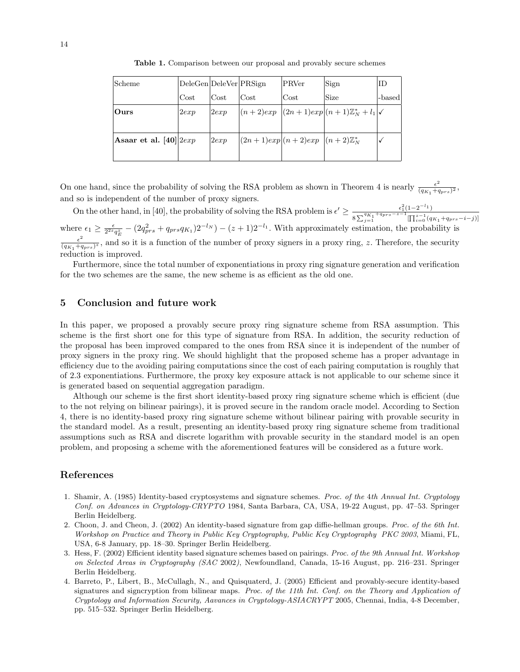| Scheme                      | DeleGen DeleVer PRSign |      |      | PRVer                                      | Sign                                                         | ID     |
|-----------------------------|------------------------|------|------|--------------------------------------------|--------------------------------------------------------------|--------|
|                             | Cost                   | Cost | Cost | Cost                                       | Size                                                         | -based |
| Ours                        | 2exp                   | 2exp |      |                                            | $ (n+2)exp  (2n+1)exp  (n+1)\mathbb{Z}_N^* + l_1 \checkmark$ |        |
|                             |                        |      |      |                                            |                                                              |        |
| Asaar et al. $[40]$ $ 2exp$ |                        | 2exp |      | $ (2n+1)exp (n+2)exp (n+2)\mathbb{Z}_N^*)$ |                                                              |        |
|                             |                        |      |      |                                            |                                                              |        |

Table 1. Comparison between our proposal and provably secure schemes

On one hand, since the probability of solving the RSA problem as shown in Theorem 4 is nearly  $\frac{\epsilon^2}{(dx - \epsilon)^2}$  $\frac{\epsilon^2}{(q_{K_1}+q_{prs})^2},$ and so is independent of the number of proxy signers.

On the other hand, in [40], the probability of solving the RSA problem is  $\epsilon' \geq \frac{\epsilon_1^2(1-2^{-l_1})}{2^{l_K} + 4nrs - z - 1}$  $8\sum_{j=1}^{q_{K_1}+q_{prs}-z-1} [\prod_{i=0}^{z-1}(q_{K_1}+q_{prs}-i-j)]$ where  $\epsilon_1 \ge \frac{\epsilon}{2^{2z}q_E^z} - (2q_{prs}^2 + q_{prs}q_{K_1})2^{-l_N}) - (z+1)2^{-l_1}$ . With approximately estimation, the probability is  $\epsilon^2$  $\frac{\epsilon^2}{(q_{K_1}+q_{prs})^2}$ , and so it is a function of the number of proxy signers in a proxy ring, z. Therefore, the security reduction is improved.

Furthermore, since the total number of exponentiations in proxy ring signature generation and verification for the two schemes are the same, the new scheme is as efficient as the old one.

# 5 Conclusion and future work

In this paper, we proposed a provably secure proxy ring signature scheme from RSA assumption. This scheme is the first short one for this type of signature from RSA. In addition, the security reduction of the proposal has been improved compared to the ones from RSA since it is independent of the number of proxy signers in the proxy ring. We should highlight that the proposed scheme has a proper advantage in efficiency due to the avoiding pairing computations since the cost of each pairing computation is roughly that of 2.3 exponentiations. Furthermore, the proxy key exposure attack is not applicable to our scheme since it is generated based on sequential aggregation paradigm.

Although our scheme is the first short identity-based proxy ring signature scheme which is efficient (due to the not relying on bilinear pairings), it is proved secure in the random oracle model. According to Section 4, there is no identity-based proxy ring signature scheme without bilinear pairing with provable security in the standard model. As a result, presenting an identity-based proxy ring signature scheme from traditional assumptions such as RSA and discrete logarithm with provable security in the standard model is an open problem, and proposing a scheme with the aforementioned features will be considered as a future work.

# References

- 1. Shamir, A. (1985) Identity-based cryptosystems and signature schemes. Proc. of the 4th Annual Int. Cryptology Conf. on Advances in Cryptology-CRYPTO 1984, Santa Barbara, CA, USA, 19-22 August, pp. 47–53. Springer Berlin Heidelberg.
- 2. Choon, J. and Cheon, J. (2002) An identity-based signature from gap diffie-hellman groups. Proc. of the 6th Int. Workshop on Practice and Theory in Public Key Cryptography, Public Key Cryptography PKC 2003, Miami, FL, USA, 6-8 January, pp. 18–30. Springer Berlin Heidelberg.
- 3. Hess, F. (2002) Efficient identity based signature schemes based on pairings. Proc. of the 9th Annual Int. Workshop on Selected Areas in Cryptography (SAC 2002), Newfoundland, Canada, 15-16 August, pp. 216–231. Springer Berlin Heidelberg.
- 4. Barreto, P., Libert, B., McCullagh, N., and Quisquaterd, J. (2005) Efficient and provably-secure identity-based signatures and signcryption from bilinear maps. Proc. of the 11th Int. Conf. on the Theory and Application of Cryptology and Information Security, Aavances in Cryptology-ASIACRYPT 2005, Chennai, India, 4-8 December, pp. 515–532. Springer Berlin Heidelberg.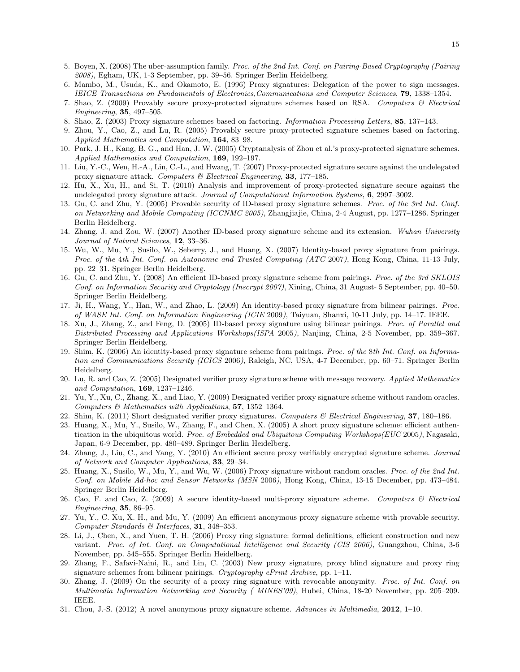- 5. Boyen, X. (2008) The uber-assumption family. Proc. of the 2nd Int. Conf. on Pairing-Based Cryptography (Pairing 2008), Egham, UK, 1-3 September, pp. 39–56. Springer Berlin Heidelberg.
- 6. Mambo, M., Usuda, K., and Okamoto, E. (1996) Proxy signatures: Delegation of the power to sign messages. IEICE Transactions on Fundamentals of Electronics,Communications and Computer Sciences, 79, 1338–1354.
- 7. Shao, Z. (2009) Provably secure proxy-protected signature schemes based on RSA. Computers & Electrical Engineering, 35, 497–505.
- 8. Shao, Z. (2003) Proxy signature schemes based on factoring. Information Processing Letters, 85, 137–143.
- 9. Zhou, Y., Cao, Z., and Lu, R. (2005) Provably secure proxy-protected signature schemes based on factoring. Applied Mathematics and Computation, 164, 83–98.
- 10. Park, J. H., Kang, B. G., and Han, J. W. (2005) Cryptanalysis of Zhou et al.'s proxy-protected signature schemes. Applied Mathematics and Computation, 169, 192–197.
- 11. Liu, Y.-C., Wen, H.-A., Lin, C.-L., and Hwang, T. (2007) Proxy-protected signature secure against the undelegated proxy signature attack. Computers  $\mathcal B$  Electrical Engineering, 33, 177–185.
- 12. Hu, X., Xu, H., and Si, T. (2010) Analysis and improvement of proxy-protected signature secure against the undelegated proxy signature attack. Journal of Computational Information Systems, 6, 2997–3002.
- 13. Gu, C. and Zhu, Y. (2005) Provable security of ID-based proxy signature schemes. Proc. of the 3rd Int. Conf. on Networking and Mobile Computing (ICCNMC 2005), Zhangjiajie, China, 2-4 August, pp. 1277–1286. Springer Berlin Heidelberg.
- 14. Zhang, J. and Zou, W. (2007) Another ID-based proxy signature scheme and its extension. Wuhan University Journal of Natural Sciences, **12**, 33-36.
- 15. Wu, W., Mu, Y., Susilo, W., Seberry, J., and Huang, X. (2007) Identity-based proxy signature from pairings. Proc. of the 4th Int. Conf. on Autonomic and Trusted Computing (ATC 2007), Hong Kong, China, 11-13 July, pp. 22–31. Springer Berlin Heidelberg.
- 16. Gu, C. and Zhu, Y. (2008) An efficient ID-based proxy signature scheme from pairings. Proc. of the 3rd SKLOIS Conf. on Information Security and Cryptology (Inscrypt 2007), Xining, China, 31 August- 5 September, pp. 40–50. Springer Berlin Heidelberg.
- 17. Ji, H., Wang, Y., Han, W., and Zhao, L. (2009) An identity-based proxy signature from bilinear pairings. Proc. of WASE Int. Conf. on Information Engineering (ICIE 2009), Taiyuan, Shanxi, 10-11 July, pp. 14–17. IEEE.
- 18. Xu, J., Zhang, Z., and Feng, D. (2005) ID-based proxy signature using bilinear pairings. Proc. of Parallel and Distributed Processing and Applications Workshops(ISPA 2005), Nanjing, China, 2-5 November, pp. 359–367. Springer Berlin Heidelberg.
- 19. Shim, K. (2006) An identity-based proxy signature scheme from pairings. Proc. of the 8th Int. Conf. on Information and Communications Security (ICICS 2006), Raleigh, NC, USA, 4-7 December, pp. 60–71. Springer Berlin Heidelberg.
- 20. Lu, R. and Cao, Z. (2005) Designated verifier proxy signature scheme with message recovery. Applied Mathematics and Computation, 169, 1237–1246.
- 21. Yu, Y., Xu, C., Zhang, X., and Liao, Y. (2009) Designated verifier proxy signature scheme without random oracles. Computers & Mathematics with Applications, 57, 1352–1364.
- 22. Shim, K. (2011) Short designated verifier proxy signatures. Computers & Electrical Engineering, 37, 180–186.
- 23. Huang, X., Mu, Y., Susilo, W., Zhang, F., and Chen, X. (2005) A short proxy signature scheme: efficient authentication in the ubiquitous world. Proc. of Embedded and Ubiquitous Computing Workshops(EUC 2005), Nagasaki, Japan, 6-9 December, pp. 480–489. Springer Berlin Heidelberg.
- 24. Zhang, J., Liu, C., and Yang, Y. (2010) An efficient secure proxy verifiably encrypted signature scheme. Journal of Network and Computer Applications, 33, 29–34.
- 25. Huang, X., Susilo, W., Mu, Y., and Wu, W. (2006) Proxy signature without random oracles. Proc. of the 2nd Int. Conf. on Mobile Ad-hoc and Sensor Networks (MSN 2006), Hong Kong, China, 13-15 December, pp. 473–484. Springer Berlin Heidelberg.
- 26. Cao, F. and Cao, Z. (2009) A secure identity-based multi-proxy signature scheme. Computers & Electrical Engineering, 35, 86–95.
- 27. Yu, Y., C. Xu, X. H., and Mu, Y. (2009) An efficient anonymous proxy signature scheme with provable security. Computer Standards & Interfaces, 31, 348–353.
- 28. Li, J., Chen, X., and Yuen, T. H. (2006) Proxy ring signature: formal definitions, efficient construction and new variant. Proc. of Int. Conf. on Computational Intelligence and Security (CIS 2006), Guangzhou, China, 3-6 November, pp. 545–555. Springer Berlin Heidelberg.
- 29. Zhang, F., Safavi-Naini, R., and Lin, C. (2003) New proxy signature, proxy blind signature and proxy ring signature schemes from bilinear pairings. Cryptography ePrint Archive, pp. 1-11.
- 30. Zhang, J. (2009) On the security of a proxy ring signature with revocable anonymity. Proc. of Int. Conf. on Multimedia Information Networking and Security ( MINES'09), Hubei, China, 18-20 November, pp. 205–209. IEEE.
- 31. Chou, J.-S. (2012) A novel anonymous proxy signature scheme. Advances in Multimedia, 2012, 1–10.